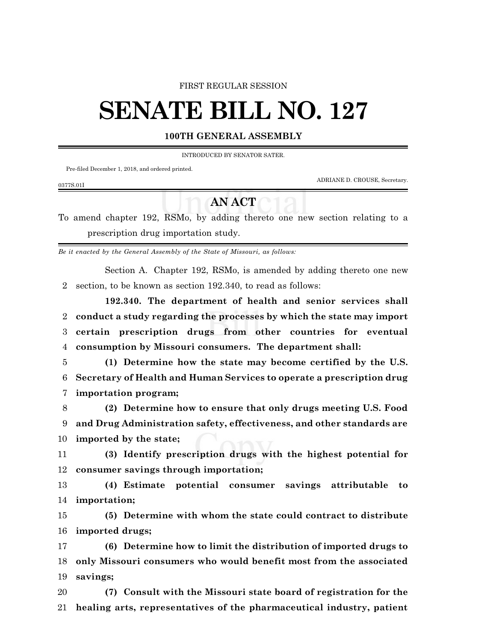#### FIRST REGULAR SESSION

# **SENATE BILL NO. 127**

### **100TH GENERAL ASSEMBLY**

INTRODUCED BY SENATOR SATER.

Pre-filed December 1, 2018, and ordered printed.

ADRIANE D. CROUSE, Secretary.

#### 0377S.01I

## **AN ACT**

To amend chapter 192, RSMo, by adding thereto one new section relating to a prescription drug importation study.

*Be it enacted by the General Assembly of the State of Missouri, as follows:*

Section A. Chapter 192, RSMo, is amended by adding thereto one new section, to be known as section 192.340, to read as follows:

**192.340. The department of health and senior services shall conduct a study regarding the processes by which the state may import certain prescription drugs from other countries for eventual consumption by Missouri consumers. The department shall:**

 **(1) Determine how the state may become certified by the U.S. Secretary of Health and Human Services to operate a prescription drug importation program;**

 **(2) Determine how to ensure that only drugs meeting U.S. Food and Drug Administration safety, effectiveness, and other standards are imported by the state;**

 **(3) Identify prescription drugs with the highest potential for consumer savings through importation;**

 **(4) Estimate potential consumer savings attributable to importation;**

 **(5) Determine with whom the state could contract to distribute imported drugs;**

 **(6) Determine how to limit the distribution of imported drugs to only Missouri consumers who would benefit most from the associated savings;**

 **(7) Consult with the Missouri state board of registration for the healing arts, representatives of the pharmaceutical industry, patient**